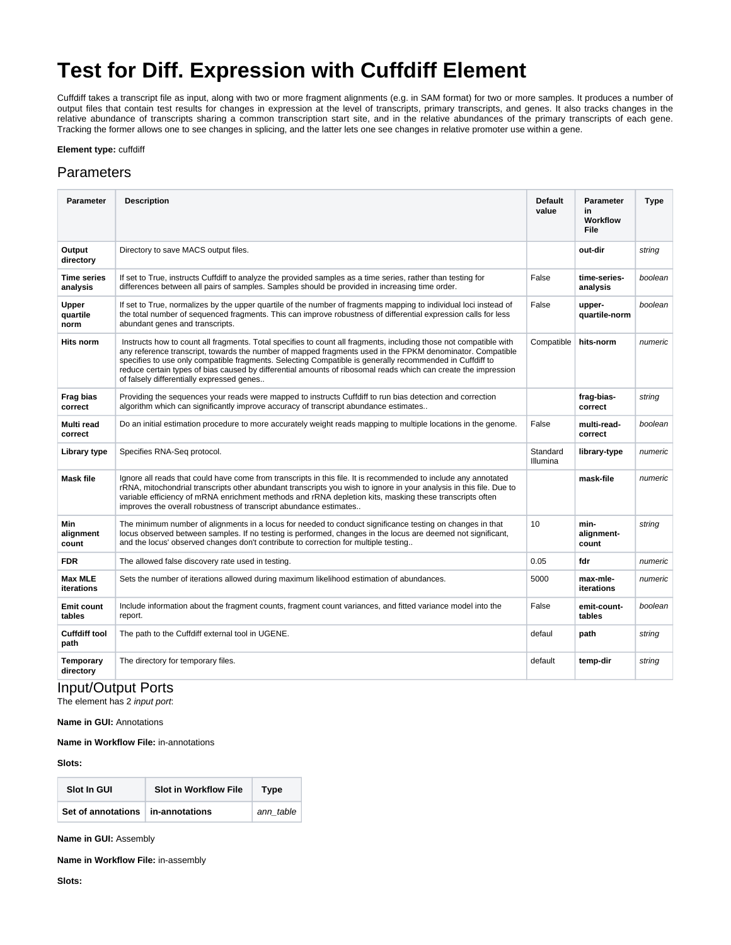## **Test for Diff. Expression with Cuffdiff Element**

Cuffdiff takes a transcript file as input, along with two or more fragment alignments (e.g. in SAM format) for two or more samples. It produces a number of output files that contain test results for changes in expression at the level of transcripts, primary transcripts, and genes. It also tracks changes in the relative abundance of transcripts sharing a common transcription start site, and in the relative abundances of the primary transcripts of each gene. Tracking the former allows one to see changes in splicing, and the latter lets one see changes in relative promoter use within a gene.

**Element type:** cuffdiff

## **Parameters**

| <b>Parameter</b>               | <b>Description</b>                                                                                                                                                                                                                                                                                                                                                                                                                                                                                        | <b>Default</b><br>value | <b>Parameter</b><br>in<br>Workflow<br>File | <b>Type</b> |
|--------------------------------|-----------------------------------------------------------------------------------------------------------------------------------------------------------------------------------------------------------------------------------------------------------------------------------------------------------------------------------------------------------------------------------------------------------------------------------------------------------------------------------------------------------|-------------------------|--------------------------------------------|-------------|
| Output<br>directory            | Directory to save MACS output files.                                                                                                                                                                                                                                                                                                                                                                                                                                                                      |                         | out-dir                                    | string      |
| <b>Time series</b><br>analysis | If set to True, instructs Cuffdiff to analyze the provided samples as a time series, rather than testing for<br>differences between all pairs of samples. Samples should be provided in increasing time order.                                                                                                                                                                                                                                                                                            | False                   | time-series-<br>analysis                   | boolean     |
| Upper<br>quartile<br>norm      | If set to True, normalizes by the upper quartile of the number of fragments mapping to individual loci instead of<br>the total number of sequenced fragments. This can improve robustness of differential expression calls for less<br>abundant genes and transcripts.                                                                                                                                                                                                                                    | False                   | upper-<br>quartile-norm                    | boolean     |
| <b>Hits norm</b>               | Instructs how to count all fragments. Total specifies to count all fragments, including those not compatible with<br>any reference transcript, towards the number of mapped fragments used in the FPKM denominator. Compatible<br>specifies to use only compatible fragments. Selecting Compatible is generally recommended in Cuffdiff to<br>reduce certain types of bias caused by differential amounts of ribosomal reads which can create the impression<br>of falsely differentially expressed genes | Compatible              | hits-norm                                  | numeric     |
| Frag bias<br>correct           | Providing the sequences your reads were mapped to instructs Cuffdiff to run bias detection and correction<br>algorithm which can significantly improve accuracy of transcript abundance estimates                                                                                                                                                                                                                                                                                                         |                         | frag-bias-<br>correct                      | string      |
| <b>Multi read</b><br>correct   | Do an initial estimation procedure to more accurately weight reads mapping to multiple locations in the genome.                                                                                                                                                                                                                                                                                                                                                                                           | False                   | multi-read-<br>correct                     | boolean     |
| Library type                   | Specifies RNA-Seq protocol.                                                                                                                                                                                                                                                                                                                                                                                                                                                                               | Standard<br>Illumina    | library-type                               | numeric     |
| <b>Mask file</b>               | Ignore all reads that could have come from transcripts in this file. It is recommended to include any annotated<br>rRNA, mitochondrial transcripts other abundant transcripts you wish to ignore in your analysis in this file. Due to<br>variable efficiency of mRNA enrichment methods and rRNA depletion kits, masking these transcripts often<br>improves the overall robustness of transcript abundance estimates                                                                                    |                         | mask-file                                  | numeric     |
| Min<br>alignment<br>count      | The minimum number of alignments in a locus for needed to conduct significance testing on changes in that<br>locus observed between samples. If no testing is performed, changes in the locus are deemed not significant,<br>and the locus' observed changes don't contribute to correction for multiple testing                                                                                                                                                                                          | 10                      | min-<br>alignment-<br>count                | string      |
| <b>FDR</b>                     | The allowed false discovery rate used in testing.                                                                                                                                                                                                                                                                                                                                                                                                                                                         | 0.05                    | fdr                                        | numeric     |
| <b>Max MLE</b><br>iterations   | Sets the number of iterations allowed during maximum likelihood estimation of abundances.                                                                                                                                                                                                                                                                                                                                                                                                                 | 5000                    | max-mle-<br>iterations                     | numeric     |
| <b>Emit count</b><br>tables    | Include information about the fragment counts, fragment count variances, and fitted variance model into the<br>report.                                                                                                                                                                                                                                                                                                                                                                                    | False                   | emit-count-<br>tables                      | boolean     |
| <b>Cuffdiff tool</b><br>path   | The path to the Cuffdiff external tool in UGENE.                                                                                                                                                                                                                                                                                                                                                                                                                                                          | defaul                  | path                                       | string      |
| <b>Temporary</b><br>directory  | The directory for temporary files.                                                                                                                                                                                                                                                                                                                                                                                                                                                                        | default                 | temp-dir                                   | string      |

## Input/Output Ports

The element has 2 input port:

**Name in GUI:** Annotations

## **Name in Workflow File:** in-annotations

**Slots:**

| Slot In GUI                       | <b>Slot in Workflow File</b> | <b>Type</b> |
|-----------------------------------|------------------------------|-------------|
| Set of annotations in-annotations |                              | ann table   |

**Name in GUI:** Assembly

**Name in Workflow File:** in-assembly

**Slots:**